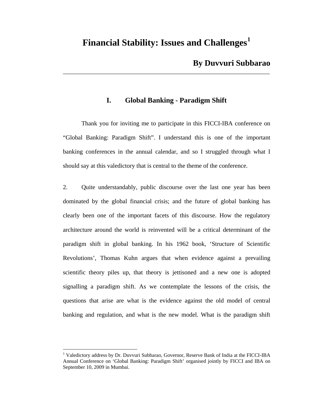# **Financial Stability: Issues and Challenges[1](#page-0-0)**

\_\_\_\_\_\_\_\_\_\_\_\_\_\_\_\_\_\_\_\_\_\_\_\_\_\_\_\_\_\_\_\_\_\_\_\_\_\_\_\_\_\_\_\_\_\_\_\_\_\_\_\_\_\_\_\_\_\_\_\_\_\_\_\_\_\_\_

## **By Duvvuri Subbarao**

# **I. Global Banking - Paradigm Shift**

Thank you for inviting me to participate in this FICCI-IBA conference on "Global Banking: Paradigm Shift". I understand this is one of the important banking conferences in the annual calendar, and so I struggled through what I should say at this valedictory that is central to the theme of the conference.

2. Quite understandably, public discourse over the last one year has been dominated by the global financial crisis; and the future of global banking has clearly been one of the important facets of this discourse. How the regulatory architecture around the world is reinvented will be a critical determinant of the paradigm shift in global banking. In his 1962 book, 'Structure of Scientific Revolutions', Thomas Kuhn argues that when evidence against a prevailing scientific theory piles up, that theory is jettisoned and a new one is adopted signalling a paradigm shift. As we contemplate the lessons of the crisis, the questions that arise are what is the evidence against the old model of central banking and regulation, and what is the new model. What is the paradigm shift

 $\overline{a}$ 

<span id="page-0-0"></span><sup>&</sup>lt;sup>1</sup> Valedictory address by Dr. Duvvuri Subbarao, Governor, Reserve Bank of India at the FICCI-IBA Annual Conference on 'Global Banking: Paradigm Shift' organised jointly by FICCI and IBA on September 10, 2009 in Mumbai.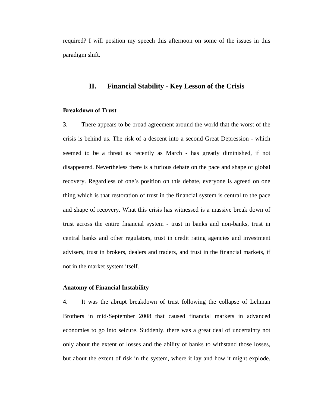required? I will position my speech this afternoon on some of the issues in this paradigm shift.

### **II. Financial Stability - Key Lesson of the Crisis**

### **Breakdown of Trust**

3. There appears to be broad agreement around the world that the worst of the crisis is behind us. The risk of a descent into a second Great Depression - which seemed to be a threat as recently as March - has greatly diminished, if not disappeared. Nevertheless there is a furious debate on the pace and shape of global recovery. Regardless of one's position on this debate, everyone is agreed on one thing which is that restoration of trust in the financial system is central to the pace and shape of recovery. What this crisis has witnessed is a massive break down of trust across the entire financial system - trust in banks and non-banks, trust in central banks and other regulators, trust in credit rating agencies and investment advisers, trust in brokers, dealers and traders, and trust in the financial markets, if not in the market system itself.

### **Anatomy of Financial Instability**

4. It was the abrupt breakdown of trust following the collapse of Lehman Brothers in mid-September 2008 that caused financial markets in advanced economies to go into seizure. Suddenly, there was a great deal of uncertainty not only about the extent of losses and the ability of banks to withstand those losses, but about the extent of risk in the system, where it lay and how it might explode.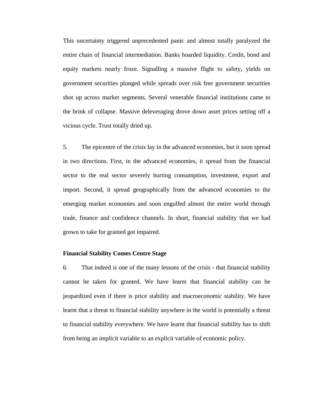This uncertainty triggered unprecedented panic and almost totally paralyzed the entire chain of financial intermediation. Banks hoarded liquidity. Credit, bond and equity markets nearly froze. Signalling a massive flight to safety, yields on government securities plunged while spreads over risk free government securities shot up across market segments. Several venerable financial institutions came to the brink of collapse. Massive deleveraging drove down asset prices setting off a vicious cycle. Trust totally dried up.

5. The epicentre of the crisis lay in the advanced economies, but it soon spread in two directions. First, in the advanced economies, it spread from the financial sector to the real sector severely hurting consumption, investment, export and import. Second, it spread geographically from the advanced economies to the emerging market economies and soon engulfed almost the entire world through trade, finance and confidence channels. In short, financial stability that we had grown to take for granted got impaired.

### **Financial Stability Comes Centre Stage**

6. That indeed is one of the many lessons of the crisis - that financial stability cannot be taken for granted. We have learnt that financial stability can be jeopardized even if there is price stability and macroeconomic stability. We have learnt that a threat to financial stability anywhere in the world is potentially a threat to financial stability everywhere. We have learnt that financial stability has to shift from being an implicit variable to an explicit variable of economic policy.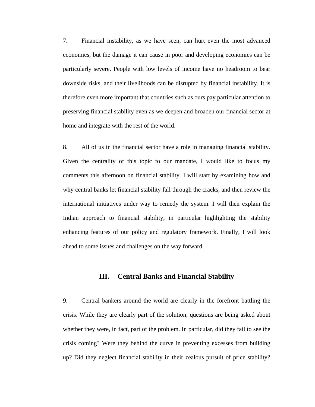7. Financial instability, as we have seen, can hurt even the most advanced economies, but the damage it can cause in poor and developing economies can be particularly severe. People with low levels of income have no headroom to bear downside risks, and their livelihoods can be disrupted by financial instability. It is therefore even more important that countries such as ours pay particular attention to preserving financial stability even as we deepen and broaden our financial sector at home and integrate with the rest of the world.

8. All of us in the financial sector have a role in managing financial stability. Given the centrality of this topic to our mandate, I would like to focus my comments this afternoon on financial stability. I will start by examining how and why central banks let financial stability fall through the cracks, and then review the international initiatives under way to remedy the system. I will then explain the Indian approach to financial stability, in particular highlighting the stability enhancing features of our policy and regulatory framework. Finally, I will look ahead to some issues and challenges on the way forward.

### **III. Central Banks and Financial Stability**

9. Central bankers around the world are clearly in the forefront battling the crisis. While they are clearly part of the solution, questions are being asked about whether they were, in fact, part of the problem. In particular, did they fail to see the crisis coming? Were they behind the curve in preventing excesses from building up? Did they neglect financial stability in their zealous pursuit of price stability?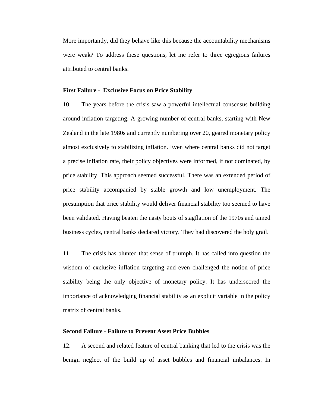More importantly, did they behave like this because the accountability mechanisms were weak? To address these questions, let me refer to three egregious failures attributed to central banks.

### **First Failure - Exclusive Focus on Price Stability**

10. The years before the crisis saw a powerful intellectual consensus building around inflation targeting. A growing number of central banks, starting with New Zealand in the late 1980s and currently numbering over 20, geared monetary policy almost exclusively to stabilizing inflation. Even where central banks did not target a precise inflation rate, their policy objectives were informed, if not dominated, by price stability. This approach seemed successful. There was an extended period of price stability accompanied by stable growth and low unemployment. The presumption that price stability would deliver financial stability too seemed to have been validated. Having beaten the nasty bouts of stagflation of the 1970s and tamed business cycles, central banks declared victory. They had discovered the holy grail.

11. The crisis has blunted that sense of triumph. It has called into question the wisdom of exclusive inflation targeting and even challenged the notion of price stability being the only objective of monetary policy. It has underscored the importance of acknowledging financial stability as an explicit variable in the policy matrix of central banks.

#### **Second Failure - Failure to Prevent Asset Price Bubbles**

12. A second and related feature of central banking that led to the crisis was the benign neglect of the build up of asset bubbles and financial imbalances. In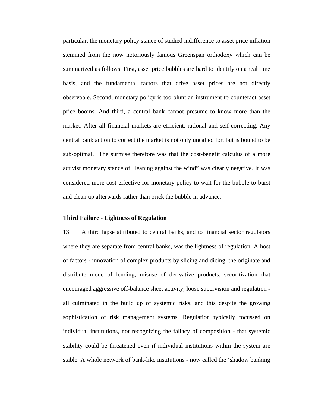particular, the monetary policy stance of studied indifference to asset price inflation stemmed from the now notoriously famous Greenspan orthodoxy which can be summarized as follows. First, asset price bubbles are hard to identify on a real time basis, and the fundamental factors that drive asset prices are not directly observable. Second, monetary policy is too blunt an instrument to counteract asset price booms. And third, a central bank cannot presume to know more than the market. After all financial markets are efficient, rational and self-correcting. Any central bank action to correct the market is not only uncalled for, but is bound to be sub-optimal. The surmise therefore was that the cost-benefit calculus of a more activist monetary stance of "leaning against the wind" was clearly negative. It was considered more cost effective for monetary policy to wait for the bubble to burst and clean up afterwards rather than prick the bubble in advance.

### **Third Failure - Lightness of Regulation**

13. A third lapse attributed to central banks, and to financial sector regulators where they are separate from central banks, was the lightness of regulation. A host of factors - innovation of complex products by slicing and dicing, the originate and distribute mode of lending, misuse of derivative products, securitization that encouraged aggressive off-balance sheet activity, loose supervision and regulation all culminated in the build up of systemic risks, and this despite the growing sophistication of risk management systems. Regulation typically focussed on individual institutions, not recognizing the fallacy of composition - that systemic stability could be threatened even if individual institutions within the system are stable. A whole network of bank-like institutions - now called the 'shadow banking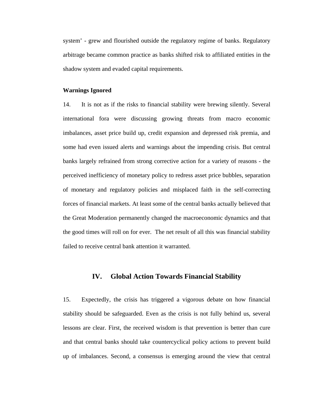system' - grew and flourished outside the regulatory regime of banks. Regulatory arbitrage became common practice as banks shifted risk to affiliated entities in the shadow system and evaded capital requirements.

### **Warnings Ignored**

14. It is not as if the risks to financial stability were brewing silently. Several international fora were discussing growing threats from macro economic imbalances, asset price build up, credit expansion and depressed risk premia, and some had even issued alerts and warnings about the impending crisis. But central banks largely refrained from strong corrective action for a variety of reasons - the perceived inefficiency of monetary policy to redress asset price bubbles, separation of monetary and regulatory policies and misplaced faith in the self-correcting forces of financial markets. At least some of the central banks actually believed that the Great Moderation permanently changed the macroeconomic dynamics and that the good times will roll on for ever. The net result of all this was financial stability failed to receive central bank attention it warranted.

### **IV. Global Action Towards Financial Stability**

15. Expectedly, the crisis has triggered a vigorous debate on how financial stability should be safeguarded. Even as the crisis is not fully behind us, several lessons are clear. First, the received wisdom is that prevention is better than cure and that central banks should take countercyclical policy actions to prevent build up of imbalances. Second, a consensus is emerging around the view that central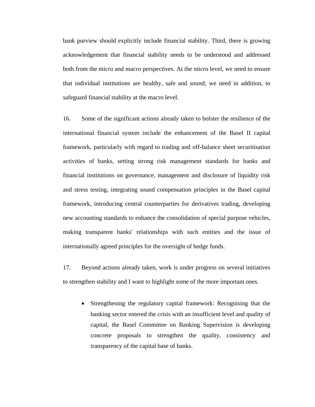bank purview should explicitly include financial stability. Third, there is growing acknowledgement that financial stability needs to be understood and addressed both from the micro and macro perspectives. At the micro level, we need to ensure that individual institutions are healthy, safe and sound; we need in addition, to safeguard financial stability at the macro level.

16. Some of the significant actions already taken to bolster the resilience of the international financial system include the enhancement of the Basel II capital framework, particularly with regard to trading and off-balance sheet securitisation activities of banks, setting strong risk management standards for banks and financial institutions on governance, management and disclosure of liquidity risk and stress testing, integrating sound compensation principles in the Basel capital framework, introducing central counterparties for derivatives trading, developing new accounting standards to enhance the consolidation of special purpose vehicles, making transparent banks' relationships with such entities and the issue of internationally agreed principles for the oversight of hedge funds.

17. Beyond actions already taken, work is under progress on several initiatives to strengthen stability and I want to highlight some of the more important ones.

• Strengthening the regulatory capital framework: Recognising that the banking sector entered the crisis with an insufficient level and quality of capital, the Basel Committee on Banking Supervision is developing concrete proposals to strengthen the quality, consistency and transparency of the capital base of banks.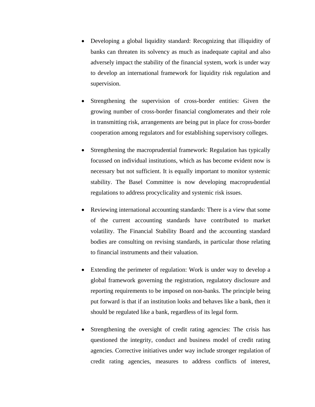- Developing a global liquidity standard: Recognizing that illiquidity of banks can threaten its solvency as much as inadequate capital and also adversely impact the stability of the financial system, work is under way to develop an international framework for liquidity risk regulation and supervision.
- Strengthening the supervision of cross-border entities: Given the growing number of cross-border financial conglomerates and their role in transmitting risk, arrangements are being put in place for cross-border cooperation among regulators and for establishing supervisory colleges.
- Strengthening the macroprudential framework: Regulation has typically focussed on individual institutions, which as has become evident now is necessary but not sufficient. It is equally important to monitor systemic stability. The Basel Committee is now developing macroprudential regulations to address procyclicality and systemic risk issues.
- Reviewing international accounting standards: There is a view that some of the current accounting standards have contributed to market volatility. The Financial Stability Board and the accounting standard bodies are consulting on revising standards, in particular those relating to financial instruments and their valuation.
- Extending the perimeter of regulation: Work is under way to develop a global framework governing the registration, regulatory disclosure and reporting requirements to be imposed on non-banks. The principle being put forward is that if an institution looks and behaves like a bank, then it should be regulated like a bank, regardless of its legal form.
- Strengthening the oversight of credit rating agencies: The crisis has questioned the integrity, conduct and business model of credit rating agencies. Corrective initiatives under way include stronger regulation of credit rating agencies, measures to address conflicts of interest,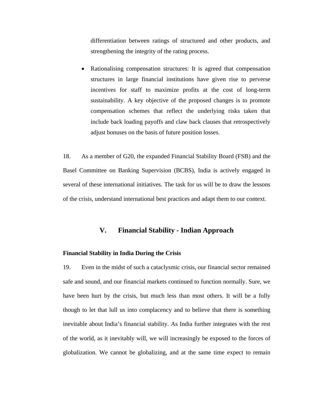differentiation between ratings of structured and other products, and strengthening the integrity of the rating process.

• Rationalising compensation structures: It is agreed that compensation structures in large financial institutions have given rise to perverse incentives for staff to maximize profits at the cost of long-term sustainability. A key objective of the proposed changes is to promote compensation schemes that reflect the underlying risks taken that include back loading payoffs and claw back clauses that retrospectively adjust bonuses on the basis of future position losses.

18. As a member of G20, the expanded Financial Stability Board (FSB) and the Basel Committee on Banking Supervision (BCBS), India is actively engaged in several of these international initiatives. The task for us will be to draw the lessons of the crisis, understand international best practices and adapt them to our context.

### **V. Financial Stability - Indian Approach**

### **Financial Stability in India During the Crisis**

19. Even in the midst of such a cataclysmic crisis, our financial sector remained safe and sound, and our financial markets continued to function normally. Sure, we have been hurt by the crisis, but much less than most others. It will be a folly though to let that lull us into complacency and to believe that there is something inevitable about India's financial stability. As India further integrates with the rest of the world, as it inevitably will, we will increasingly be exposed to the forces of globalization. We cannot be globalizing, and at the same time expect to remain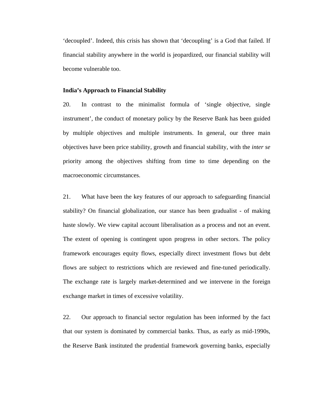'decoupled'. Indeed, this crisis has shown that 'decoupling' is a God that failed. If financial stability anywhere in the world is jeopardized, our financial stability will become vulnerable too.

### **India's Approach to Financial Stability**

20. In contrast to the minimalist formula of 'single objective, single instrument', the conduct of monetary policy by the Reserve Bank has been guided by multiple objectives and multiple instruments. In general, our three main objectives have been price stability, growth and financial stability, with the *inter se*  priority among the objectives shifting from time to time depending on the macroeconomic circumstances.

21. What have been the key features of our approach to safeguarding financial stability? On financial globalization, our stance has been gradualist - of making haste slowly. We view capital account liberalisation as a process and not an event. The extent of opening is contingent upon progress in other sectors. The policy framework encourages equity flows, especially direct investment flows but debt flows are subject to restrictions which are reviewed and fine-tuned periodically. The exchange rate is largely market-determined and we intervene in the foreign exchange market in times of excessive volatility.

22. Our approach to financial sector regulation has been informed by the fact that our system is dominated by commercial banks. Thus, as early as mid-1990s, the Reserve Bank instituted the prudential framework governing banks, especially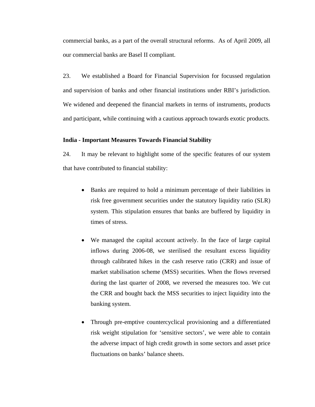commercial banks, as a part of the overall structural reforms. As of April 2009, all our commercial banks are Basel II compliant.

23. We established a Board for Financial Supervision for focussed regulation and supervision of banks and other financial institutions under RBI's jurisdiction. We widened and deepened the financial markets in terms of instruments, products and participant, while continuing with a cautious approach towards exotic products.

### **India - Important Measures Towards Financial Stability**

24. It may be relevant to highlight some of the specific features of our system that have contributed to financial stability:

- Banks are required to hold a minimum percentage of their liabilities in risk free government securities under the statutory liquidity ratio (SLR) system. This stipulation ensures that banks are buffered by liquidity in times of stress.
- We managed the capital account actively. In the face of large capital inflows during 2006-08, we sterilised the resultant excess liquidity through calibrated hikes in the cash reserve ratio (CRR) and issue of market stabilisation scheme (MSS) securities. When the flows reversed during the last quarter of 2008, we reversed the measures too. We cut the CRR and bought back the MSS securities to inject liquidity into the banking system.
- Through pre-emptive countercyclical provisioning and a differentiated risk weight stipulation for 'sensitive sectors', we were able to contain the adverse impact of high credit growth in some sectors and asset price fluctuations on banks' balance sheets.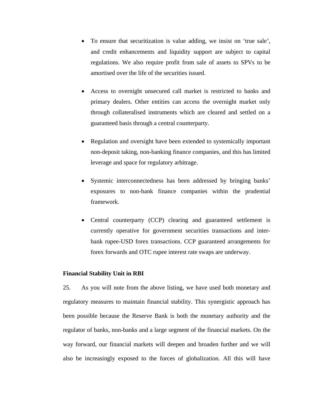- To ensure that securitization is value adding, we insist on 'true sale', and credit enhancements and liquidity support are subject to capital regulations. We also require profit from sale of assets to SPVs to be amortised over the life of the securities issued.
- Access to overnight unsecured call market is restricted to banks and primary dealers. Other entities can access the overnight market only through collateralised instruments which are cleared and settled on a guaranteed basis through a central counterparty.
- Regulation and oversight have been extended to systemically important non-deposit taking, non-banking finance companies, and this has limited leverage and space for regulatory arbitrage.
- Systemic interconnectedness has been addressed by bringing banks' exposures to non-bank finance companies within the prudential framework.
- Central counterparty (CCP) clearing and guaranteed settlement is currently operative for government securities transactions and interbank rupee-USD forex transactions. CCP guaranteed arrangements for forex forwards and OTC rupee interest rate swaps are underway.

#### **Financial Stability Unit in RBI**

25. As you will note from the above listing, we have used both monetary and regulatory measures to maintain financial stability. This synergistic approach has been possible because the Reserve Bank is both the monetary authority and the regulator of banks, non-banks and a large segment of the financial markets. On the way forward, our financial markets will deepen and broaden further and we will also be increasingly exposed to the forces of globalization. All this will have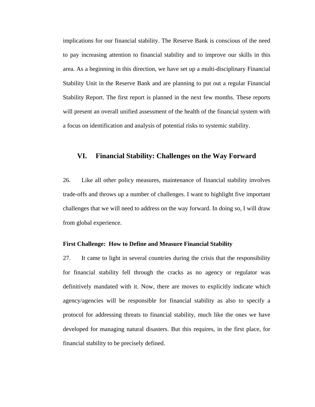implications for our financial stability. The Reserve Bank is conscious of the need to pay increasing attention to financial stability and to improve our skills in this area. As a beginning in this direction, we have set up a multi-disciplinary Financial Stability Unit in the Reserve Bank and are planning to put out a regular Financial Stability Report. The first report is planned in the next few months. These reports will present an overall unified assessment of the health of the financial system with a focus on identification and analysis of potential risks to systemic stability.

### **VI. Financial Stability: Challenges on the Way Forward**

26. Like all other policy measures, maintenance of financial stability involves trade-offs and throws up a number of challenges. I want to highlight five important challenges that we will need to address on the way forward. In doing so, I will draw from global experience.

#### **First Challenge: How to Define and Measure Financial Stability**

27. It came to light in several countries during the crisis that the responsibility for financial stability fell through the cracks as no agency or regulator was definitively mandated with it. Now, there are moves to explicitly indicate which agency/agencies will be responsible for financial stability as also to specify a protocol for addressing threats to financial stability, much like the ones we have developed for managing natural disasters. But this requires, in the first place, for financial stability to be precisely defined.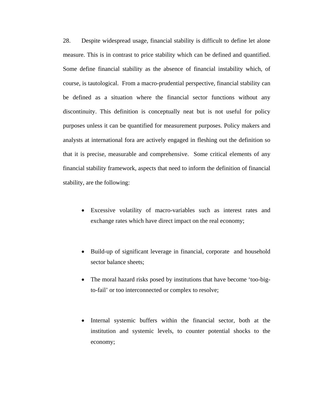28. Despite widespread usage, financial stability is difficult to define let alone measure. This is in contrast to price stability which can be defined and quantified. Some define financial stability as the absence of financial instability which, of course, is tautological. From a macro-prudential perspective, financial stability can be defined as a situation where the financial sector functions without any discontinuity. This definition is conceptually neat but is not useful for policy purposes unless it can be quantified for measurement purposes. Policy makers and analysts at international fora are actively engaged in fleshing out the definition so that it is precise, measurable and comprehensive. Some critical elements of any financial stability framework, aspects that need to inform the definition of financial stability, are the following:

- Excessive volatility of macro-variables such as interest rates and exchange rates which have direct impact on the real economy;
- Build-up of significant leverage in financial, corporate and household sector balance sheets;
- The moral hazard risks posed by institutions that have become 'too-bigto-fail' or too interconnected or complex to resolve;
- Internal systemic buffers within the financial sector, both at the institution and systemic levels, to counter potential shocks to the economy;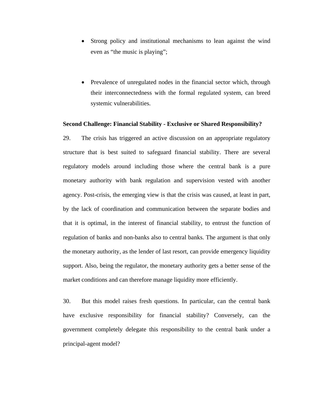- Strong policy and institutional mechanisms to lean against the wind even as "the music is playing";
- Prevalence of unregulated nodes in the financial sector which, through their interconnectedness with the formal regulated system, can breed systemic vulnerabilities.

#### **Second Challenge: Financial Stability - Exclusive or Shared Responsibility?**

29. The crisis has triggered an active discussion on an appropriate regulatory structure that is best suited to safeguard financial stability. There are several regulatory models around including those where the central bank is a pure monetary authority with bank regulation and supervision vested with another agency. Post-crisis, the emerging view is that the crisis was caused, at least in part, by the lack of coordination and communication between the separate bodies and that it is optimal, in the interest of financial stability, to entrust the function of regulation of banks and non-banks also to central banks. The argument is that only the monetary authority, as the lender of last resort, can provide emergency liquidity support. Also, being the regulator, the monetary authority gets a better sense of the market conditions and can therefore manage liquidity more efficiently.

30. But this model raises fresh questions. In particular, can the central bank have exclusive responsibility for financial stability? Conversely, can the government completely delegate this responsibility to the central bank under a principal-agent model?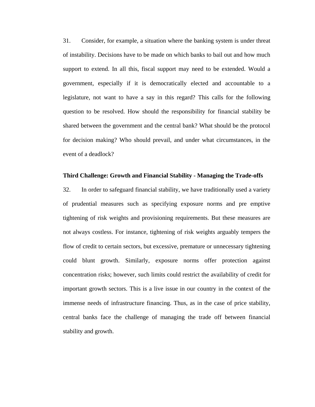31. Consider, for example, a situation where the banking system is under threat of instability. Decisions have to be made on which banks to bail out and how much support to extend. In all this, fiscal support may need to be extended. Would a government, especially if it is democratically elected and accountable to a legislature, not want to have a say in this regard? This calls for the following question to be resolved. How should the responsibility for financial stability be shared between the government and the central bank? What should be the protocol for decision making? Who should prevail, and under what circumstances, in the event of a deadlock?

### **Third Challenge: Growth and Financial Stability - Managing the Trade-offs**

32. In order to safeguard financial stability, we have traditionally used a variety of prudential measures such as specifying exposure norms and pre emptive tightening of risk weights and provisioning requirements. But these measures are not always costless. For instance, tightening of risk weights arguably tempers the flow of credit to certain sectors, but excessive, premature or unnecessary tightening could blunt growth. Similarly, exposure norms offer protection against concentration risks; however, such limits could restrict the availability of credit for important growth sectors. This is a live issue in our country in the context of the immense needs of infrastructure financing. Thus, as in the case of price stability, central banks face the challenge of managing the trade off between financial stability and growth.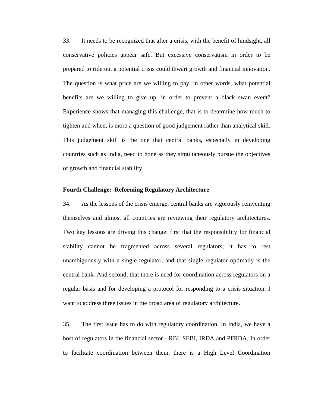33. It needs to be recognized that after a crisis, with the benefit of hindsight, all conservative policies appear safe. But excessive conservatism in order to be prepared to ride out a potential crisis could thwart growth and financial innovation. The question is what price are we willing to pay, in other words, what potential benefits are we willing to give up, in order to prevent a black swan event? Experience shows that managing this challenge, that is to determine how much to tighten and when, is more a question of good judgement rather than analytical skill. This judgement skill is the one that central banks, especially in developing countries such as India, need to hone as they simultaneously pursue the objectives of growth and financial stability.

### **Fourth Challenge: Reforming Regulatory Architecture**

34. As the lessons of the crisis emerge, central banks are vigorously reinventing themselves and almost all countries are reviewing their regulatory architectures. Two key lessons are driving this change: first that the responsibility for financial stability cannot be fragmented across several regulators; it has to rest unambiguously with a single regulator, and that single regulator optimally is the central bank. And second, that there is need for coordination across regulators on a regular basis and for developing a protocol for responding to a crisis situation. I want to address three issues in the broad area of regulatory architecture.

35. The first issue has to do with regulatory coordination. In India, we have a host of regulators in the financial sector - RBI, SEBI, IRDA and PFRDA. In order to facilitate coordination between them, there is a High Level Coordination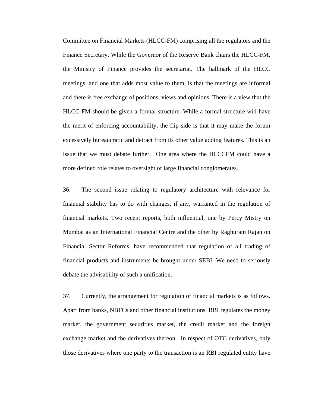Committee on Financial Markets (HLCC-FM) comprising all the regulators and the Finance Secretary. While the Governor of the Reserve Bank chairs the HLCC-FM, the Ministry of Finance provides the secretariat. The hallmark of the HLCC meetings, and one that adds most value to them, is that the meetings are informal and there is free exchange of positions, views and opinions. There is a view that the HLCC-FM should be given a formal structure. While a formal structure will have the merit of enforcing accountability, the flip side is that it may make the forum excessively bureaucratic and detract from its other value adding features. This is an issue that we must debate further. One area where the HLCCFM could have a more defined role relates to oversight of large financial conglomerates.

36. The second issue relating to regulatory architecture with relevance for financial stability has to do with changes, if any, warranted in the regulation of financial markets. Two recent reports, both influential, one by Percy Mistry on Mumbai as an International Financial Centre and the other by Raghuram Rajan on Financial Sector Reforms, have recommended that regulation of all trading of financial products and instruments be brought under SEBI. We need to seriously debate the advisability of such a unification.

37. Currently, the arrangement for regulation of financial markets is as follows. Apart from banks, NBFCs and other financial institutions, RBI regulates the money market, the government securities market, the credit market and the foreign exchange market and the derivatives thereon. In respect of OTC derivatives, only those derivatives where one party to the transaction is an RBI regulated entity have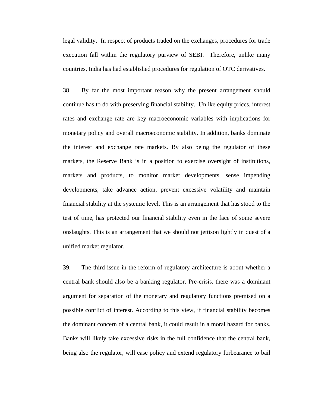legal validity. In respect of products traded on the exchanges, procedures for trade execution fall within the regulatory purview of SEBI. Therefore, unlike many countries, India has had established procedures for regulation of OTC derivatives.

38. By far the most important reason why the present arrangement should continue has to do with preserving financial stability. Unlike equity prices, interest rates and exchange rate are key macroeconomic variables with implications for monetary policy and overall macroeconomic stability. In addition, banks dominate the interest and exchange rate markets. By also being the regulator of these markets, the Reserve Bank is in a position to exercise oversight of institutions, markets and products, to monitor market developments, sense impending developments, take advance action, prevent excessive volatility and maintain financial stability at the systemic level. This is an arrangement that has stood to the test of time, has protected our financial stability even in the face of some severe onslaughts. This is an arrangement that we should not jettison lightly in quest of a unified market regulator.

39. The third issue in the reform of regulatory architecture is about whether a central bank should also be a banking regulator. Pre-crisis, there was a dominant argument for separation of the monetary and regulatory functions premised on a possible conflict of interest. According to this view, if financial stability becomes the dominant concern of a central bank, it could result in a moral hazard for banks. Banks will likely take excessive risks in the full confidence that the central bank, being also the regulator, will ease policy and extend regulatory forbearance to bail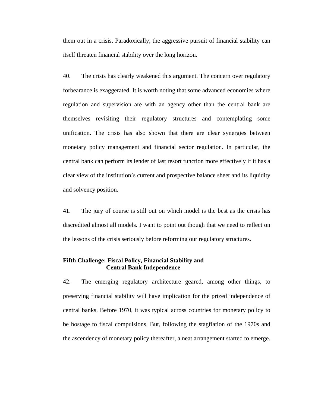them out in a crisis. Paradoxically, the aggressive pursuit of financial stability can itself threaten financial stability over the long horizon.

40. The crisis has clearly weakened this argument. The concern over regulatory forbearance is exaggerated. It is worth noting that some advanced economies where regulation and supervision are with an agency other than the central bank are themselves revisiting their regulatory structures and contemplating some unification. The crisis has also shown that there are clear synergies between monetary policy management and financial sector regulation. In particular, the central bank can perform its lender of last resort function more effectively if it has a clear view of the institution's current and prospective balance sheet and its liquidity and solvency position.

41. The jury of course is still out on which model is the best as the crisis has discredited almost all models. I want to point out though that we need to reflect on the lessons of the crisis seriously before reforming our regulatory structures.

### **Fifth Challenge: Fiscal Policy, Financial Stability and Central Bank Independence**

42. The emerging regulatory architecture geared, among other things, to preserving financial stability will have implication for the prized independence of central banks. Before 1970, it was typical across countries for monetary policy to be hostage to fiscal compulsions. But, following the stagflation of the 1970s and the ascendency of monetary policy thereafter, a neat arrangement started to emerge.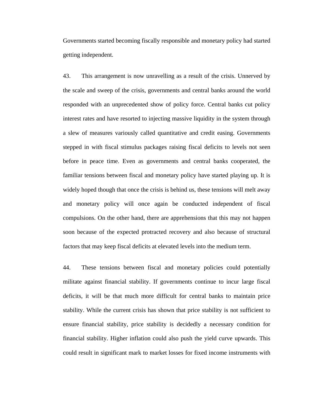Governments started becoming fiscally responsible and monetary policy had started getting independent.

43. This arrangement is now unravelling as a result of the crisis. Unnerved by the scale and sweep of the crisis, governments and central banks around the world responded with an unprecedented show of policy force. Central banks cut policy interest rates and have resorted to injecting massive liquidity in the system through a slew of measures variously called quantitative and credit easing. Governments stepped in with fiscal stimulus packages raising fiscal deficits to levels not seen before in peace time. Even as governments and central banks cooperated, the familiar tensions between fiscal and monetary policy have started playing up. It is widely hoped though that once the crisis is behind us, these tensions will melt away and monetary policy will once again be conducted independent of fiscal compulsions. On the other hand, there are apprehensions that this may not happen soon because of the expected protracted recovery and also because of structural factors that may keep fiscal deficits at elevated levels into the medium term.

44. These tensions between fiscal and monetary policies could potentially militate against financial stability. If governments continue to incur large fiscal deficits, it will be that much more difficult for central banks to maintain price stability. While the current crisis has shown that price stability is not sufficient to ensure financial stability, price stability is decidedly a necessary condition for financial stability. Higher inflation could also push the yield curve upwards. This could result in significant mark to market losses for fixed income instruments with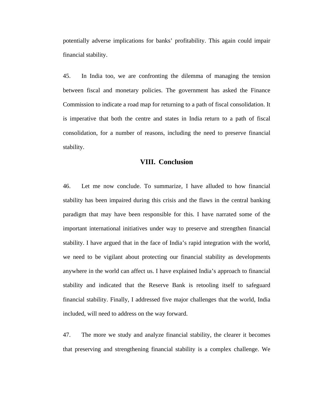potentially adverse implications for banks' profitability. This again could impair financial stability.

45. In India too, we are confronting the dilemma of managing the tension between fiscal and monetary policies. The government has asked the Finance Commission to indicate a road map for returning to a path of fiscal consolidation. It is imperative that both the centre and states in India return to a path of fiscal consolidation, for a number of reasons, including the need to preserve financial stability.

### **VIII. Conclusion**

46. Let me now conclude. To summarize, I have alluded to how financial stability has been impaired during this crisis and the flaws in the central banking paradigm that may have been responsible for this. I have narrated some of the important international initiatives under way to preserve and strengthen financial stability. I have argued that in the face of India's rapid integration with the world, we need to be vigilant about protecting our financial stability as developments anywhere in the world can affect us. I have explained India's approach to financial stability and indicated that the Reserve Bank is retooling itself to safeguard financial stability. Finally, I addressed five major challenges that the world, India included, will need to address on the way forward.

47. The more we study and analyze financial stability, the clearer it becomes that preserving and strengthening financial stability is a complex challenge. We